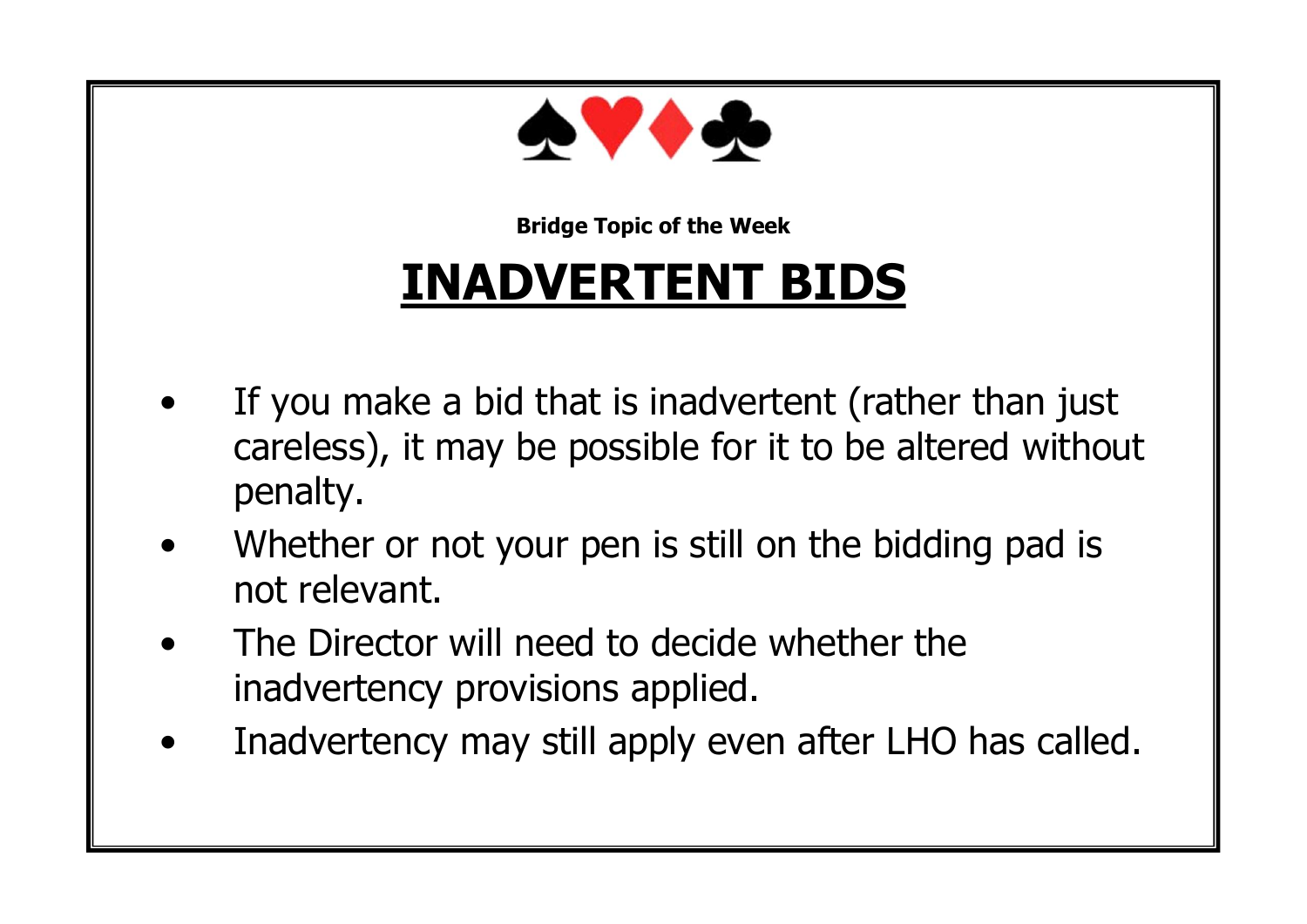

#### **INADVERTENT BIDS**

- If you make a bid that is inadvertent (rather than just careless), it may be possible for it to be altered without penalty.
- Whether or not your pen is still on the bidding pad is not relevant.
- The Director will need to decide whether the inadvertency provisions applied.
- Inadvertency may still apply even after LHO has called.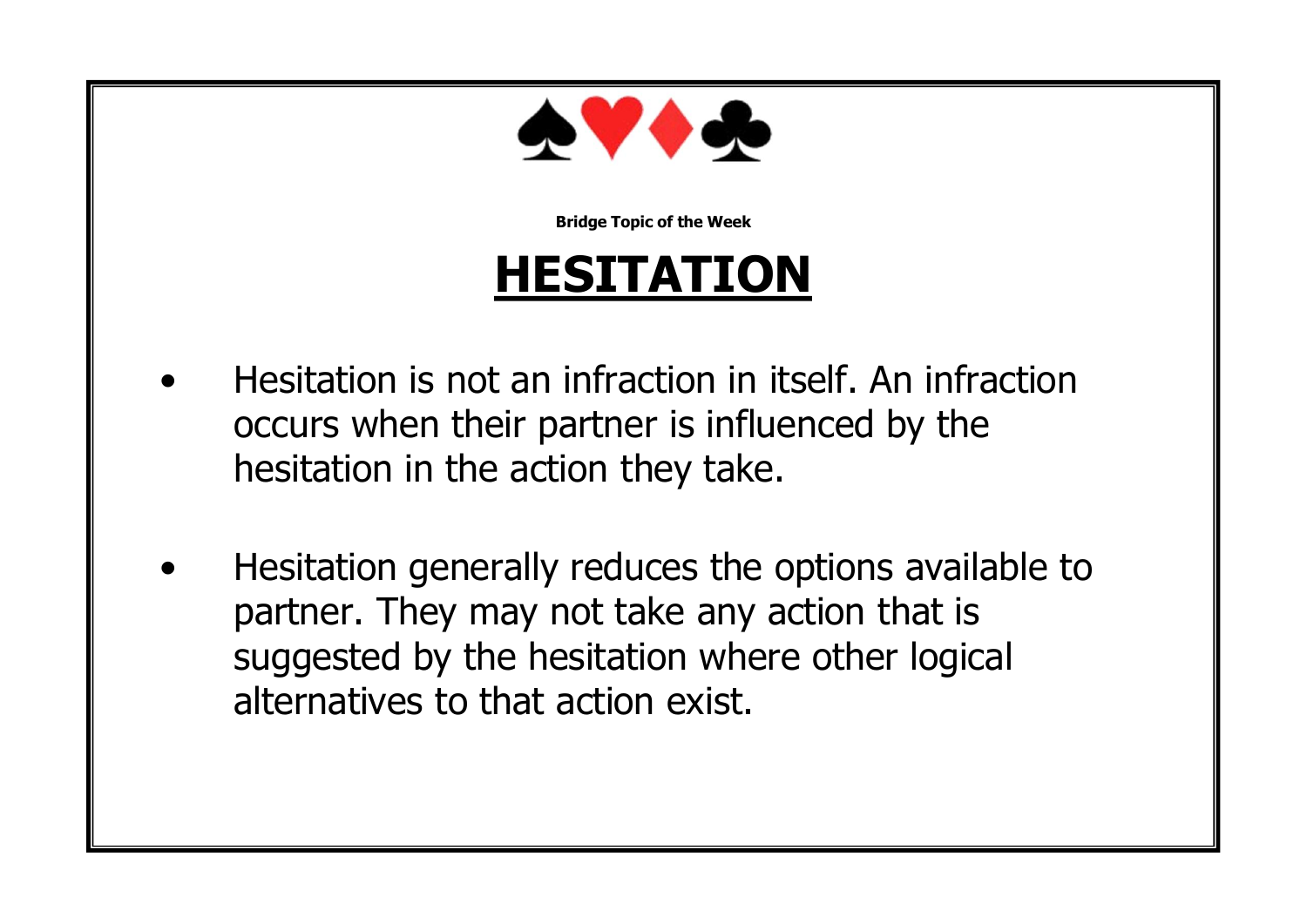

#### **HESITATION**

- Hesitation is not an infraction in itself. An infraction occurs when their partner is influenced by the hesitation in the action they take.
- Hesitation generally reduces the options available to partner. They may not take any action that is suggested by the hesitation where other logical alternatives to that action exist.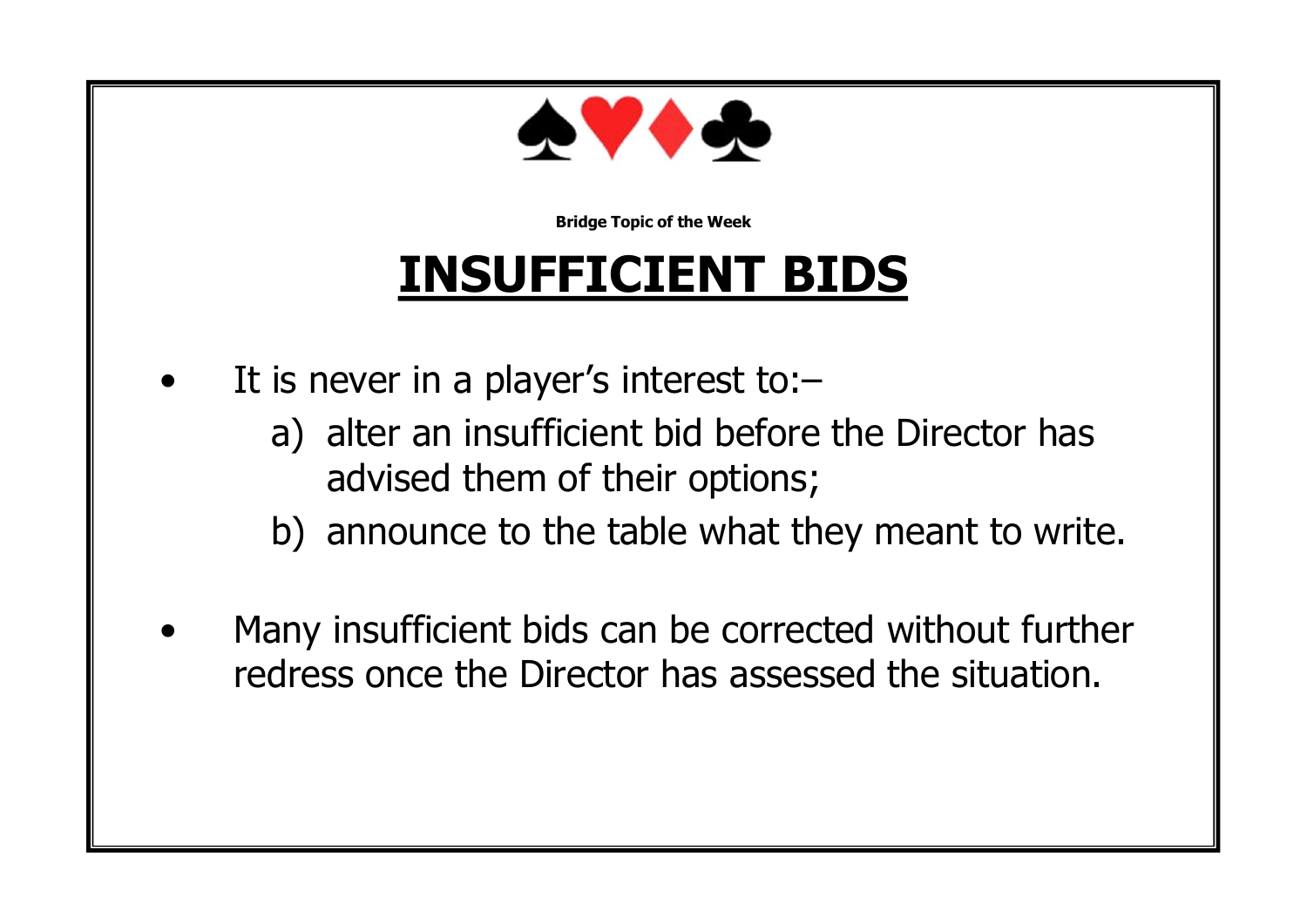

## **INSUFFICIENT BIDS**

- It is never in a player's interest to:
	- a) alter an insufficient bid before the Director has advised them of their options;
	- b) announce to the table what they meant to write.
- Many insufficient bids can be corrected without further redress once the Director has assessed the situation.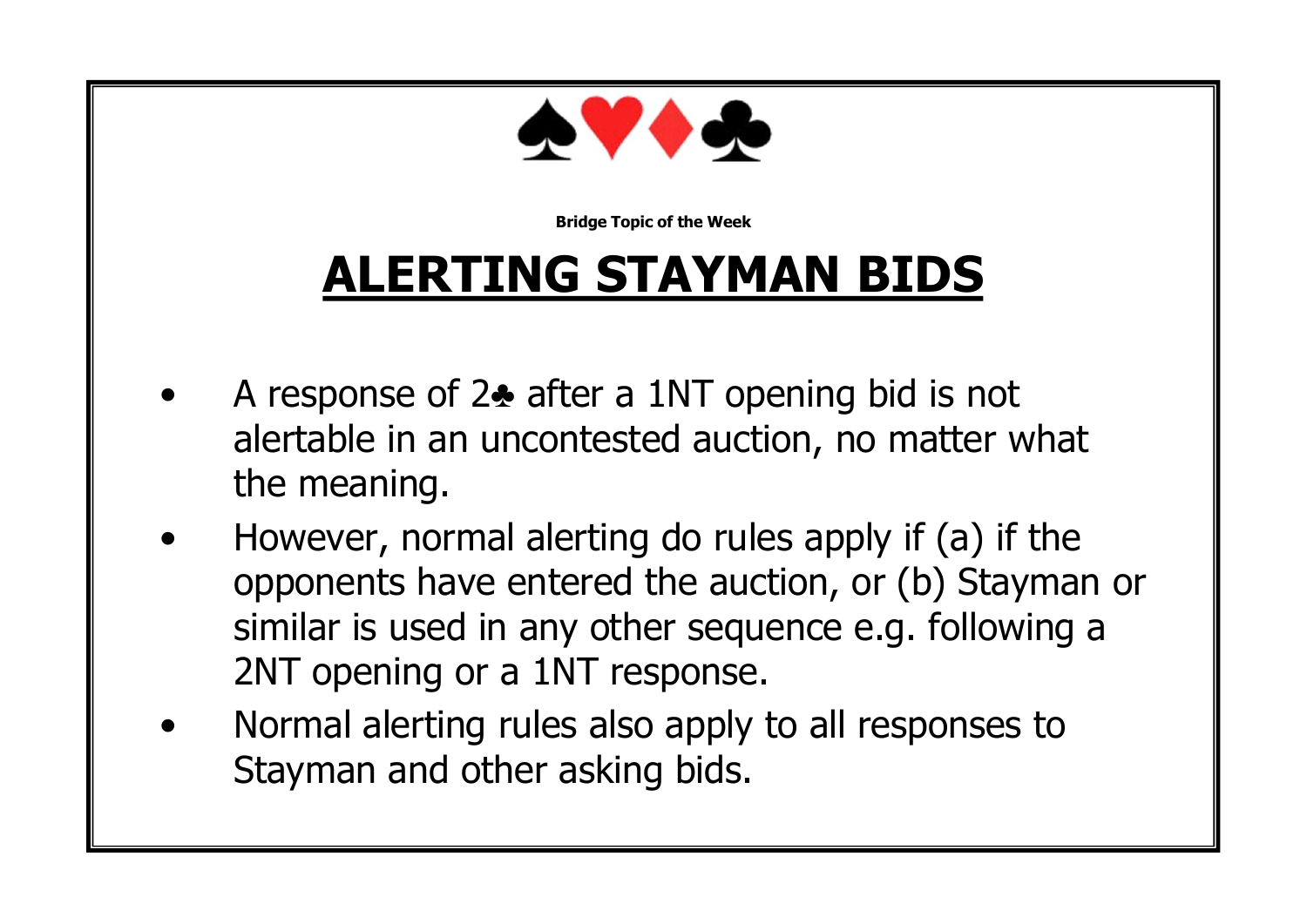

## **ALERTING STAYMAN BIDS**

- A response of 2♣ after a 1NT opening bid is not alertable in an uncontested auction, no matter what the meaning.
- However, normal alerting do rules apply if (a) if the opponents have entered the auction, or (b) Stayman or similar is used in any other sequence e.g. following a 2NT opening or a 1NT response.
- Normal alerting rules also apply to all responses to Stayman and other asking bids.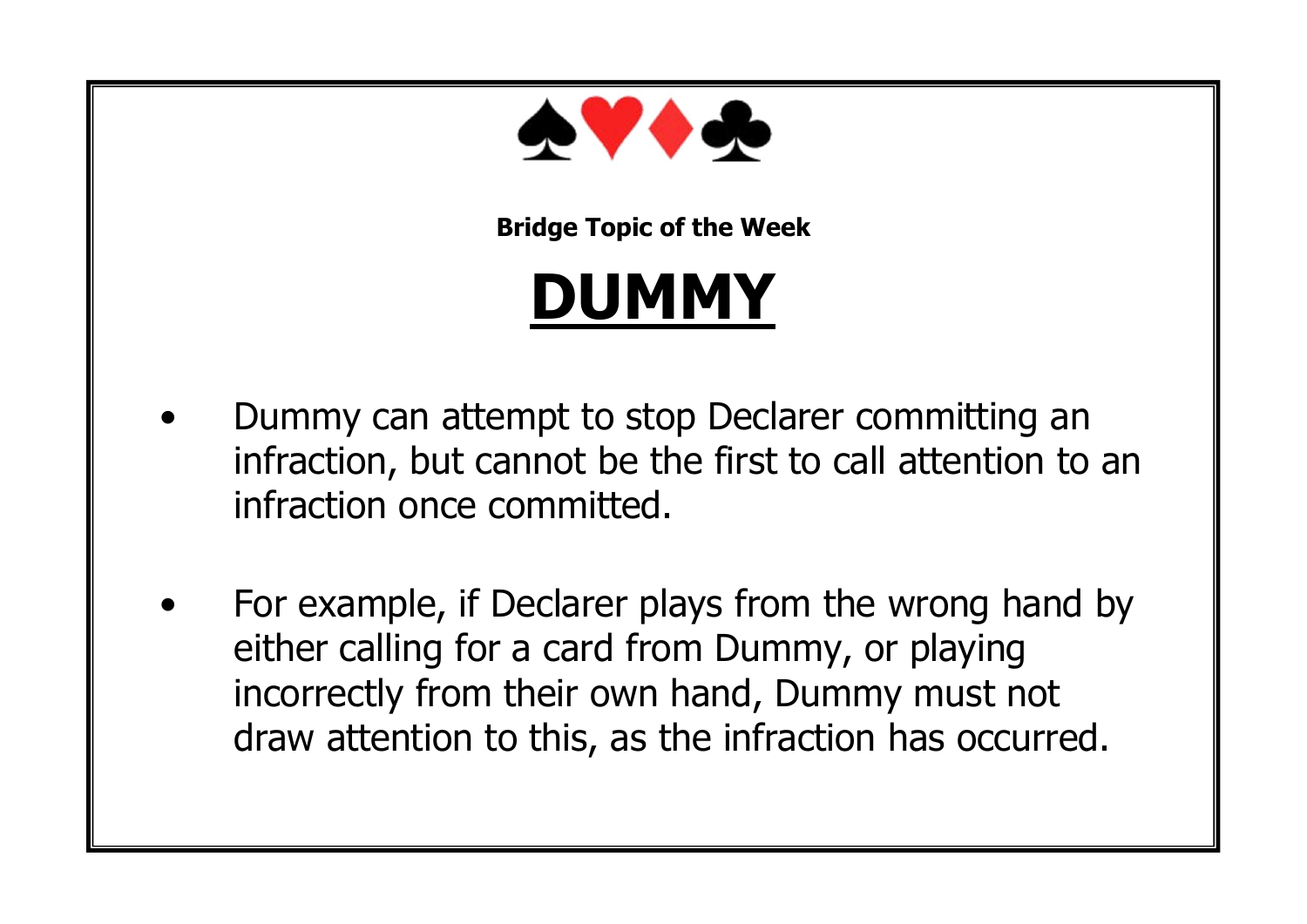

# **DUMMY**

- Dummy can attempt to stop Declarer committing an infraction, but cannot be the first to call attention to an infraction once committed.
- For example, if Declarer plays from the wrong hand by either calling for a card from Dummy, or playing incorrectly from their own hand, Dummy must not draw attention to this, as the infraction has occurred.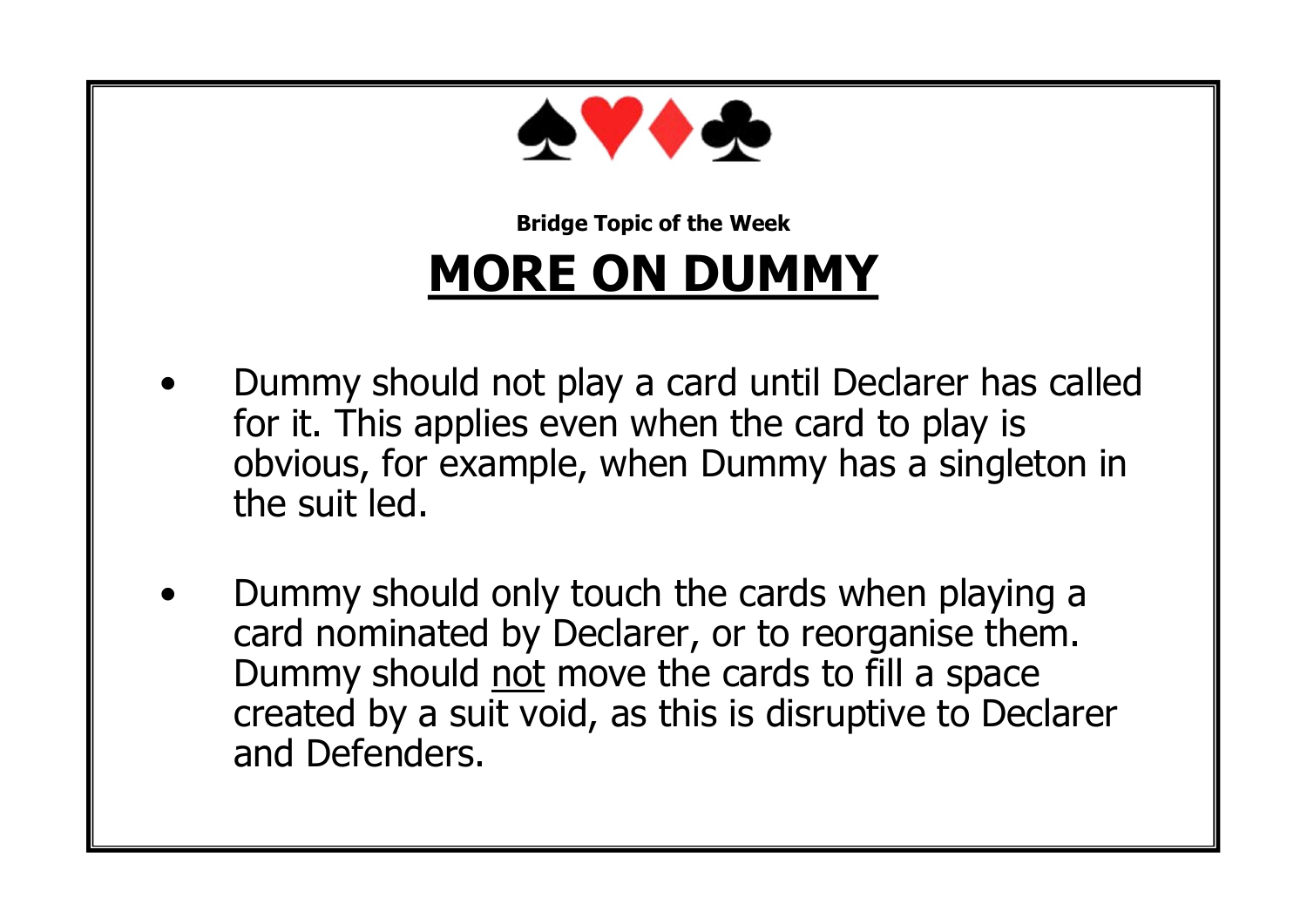

#### **Bridge Topic of the Week MORE ON DUMMY**

- Dummy should not play a card until Declarer has called for it. This applies even when the card to play is obvious, for example, when Dummy has a singleton in the suit led.
- Dummy should only touch the cards when playing a card nominated by Declarer, or to reorganise them. Dummy should not move the cards to fill a space created by a suit void, as this is disruptive to Declarer and Defenders.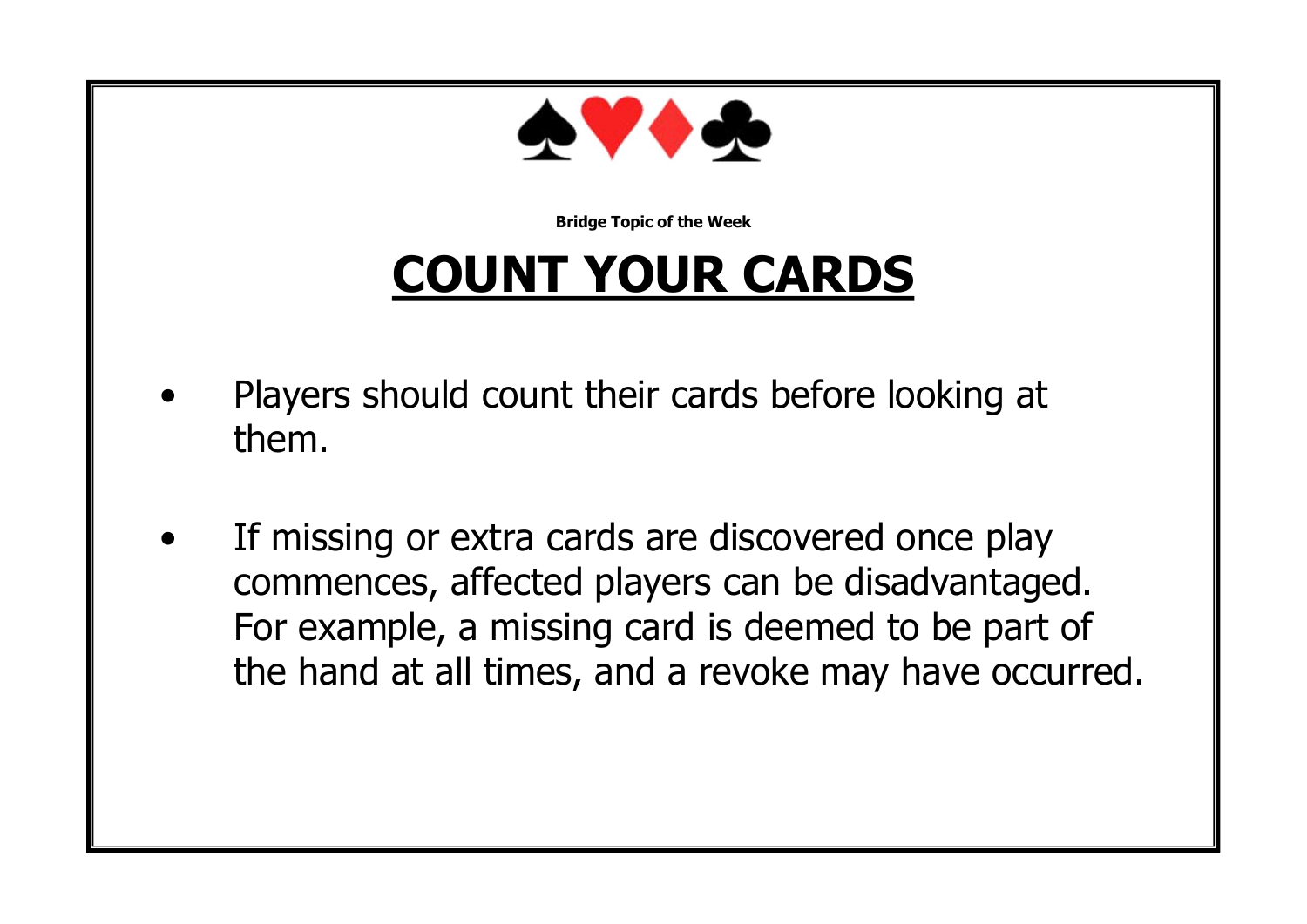

## **COUNT YOUR CARDS**

- Players should count their cards before looking at them.
- If missing or extra cards are discovered once play commences, affected players can be disadvantaged. For example, a missing card is deemed to be part of the hand at all times, and a revoke may have occurred.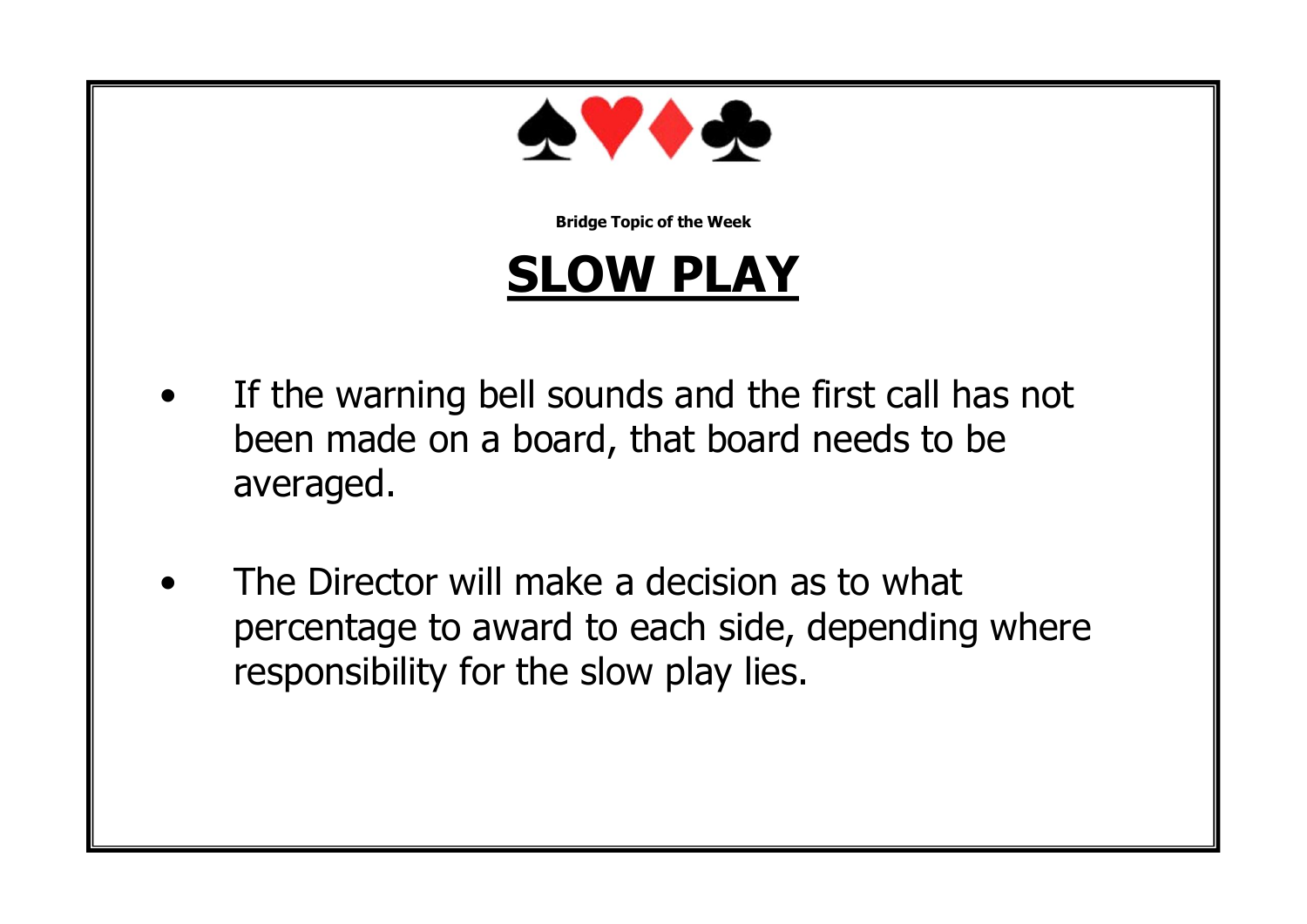

#### **SLOW PLAY**

- If the warning bell sounds and the first call has not been made on a board, that board needs to be averaged.
- The Director will make a decision as to what percentage to award to each side, depending where responsibility for the slow play lies.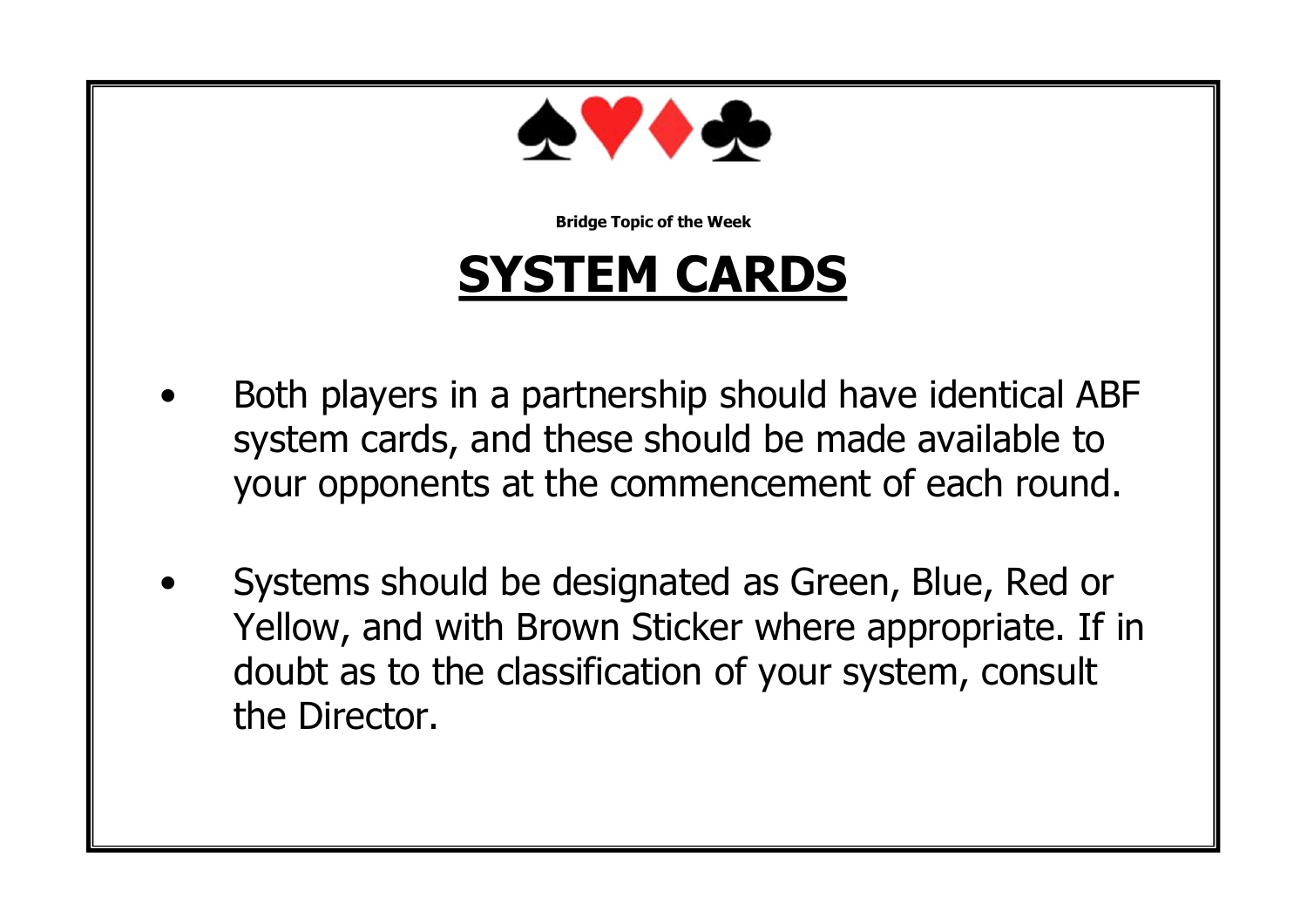

#### **SYSTEM CARDS**

- Both players in a partnership should have identical ABF system cards, and these should be made available to your opponents at the commencement of each round.
- Systems should be designated as Green, Blue, Red or Yellow, and with Brown Sticker where appropriate. If in doubt as to the classification of your system, consult the Director.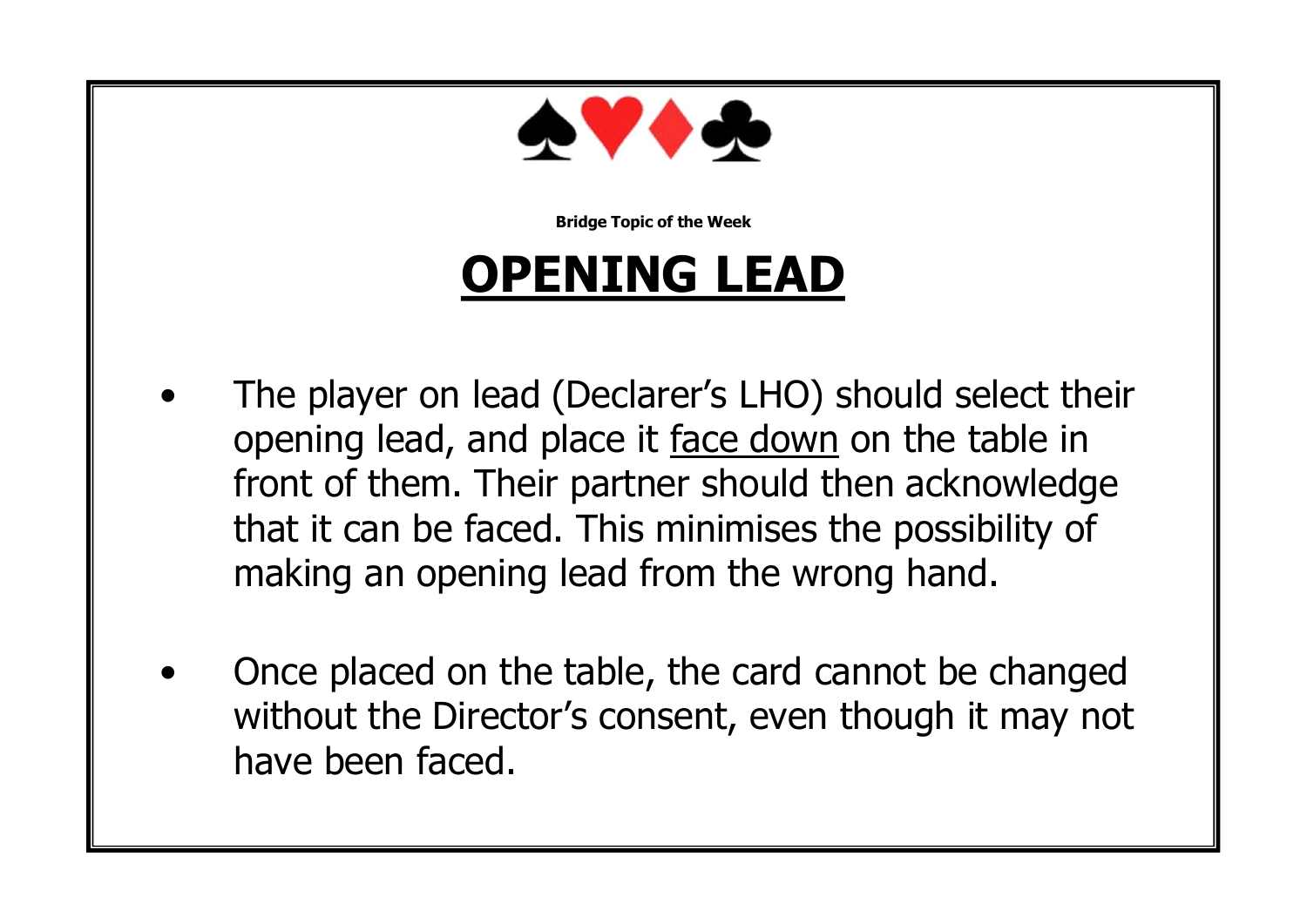

#### **OPENING LEAD**

- The player on lead (Declarer's LHO) should select their opening lead, and place it face down on the table in front of them. Their partner should then acknowledge that it can be faced. This minimises the possibility of making an opening lead from the wrong hand.
- Once placed on the table, the card cannot be changed without the Director's consent, even though it may not have been faced.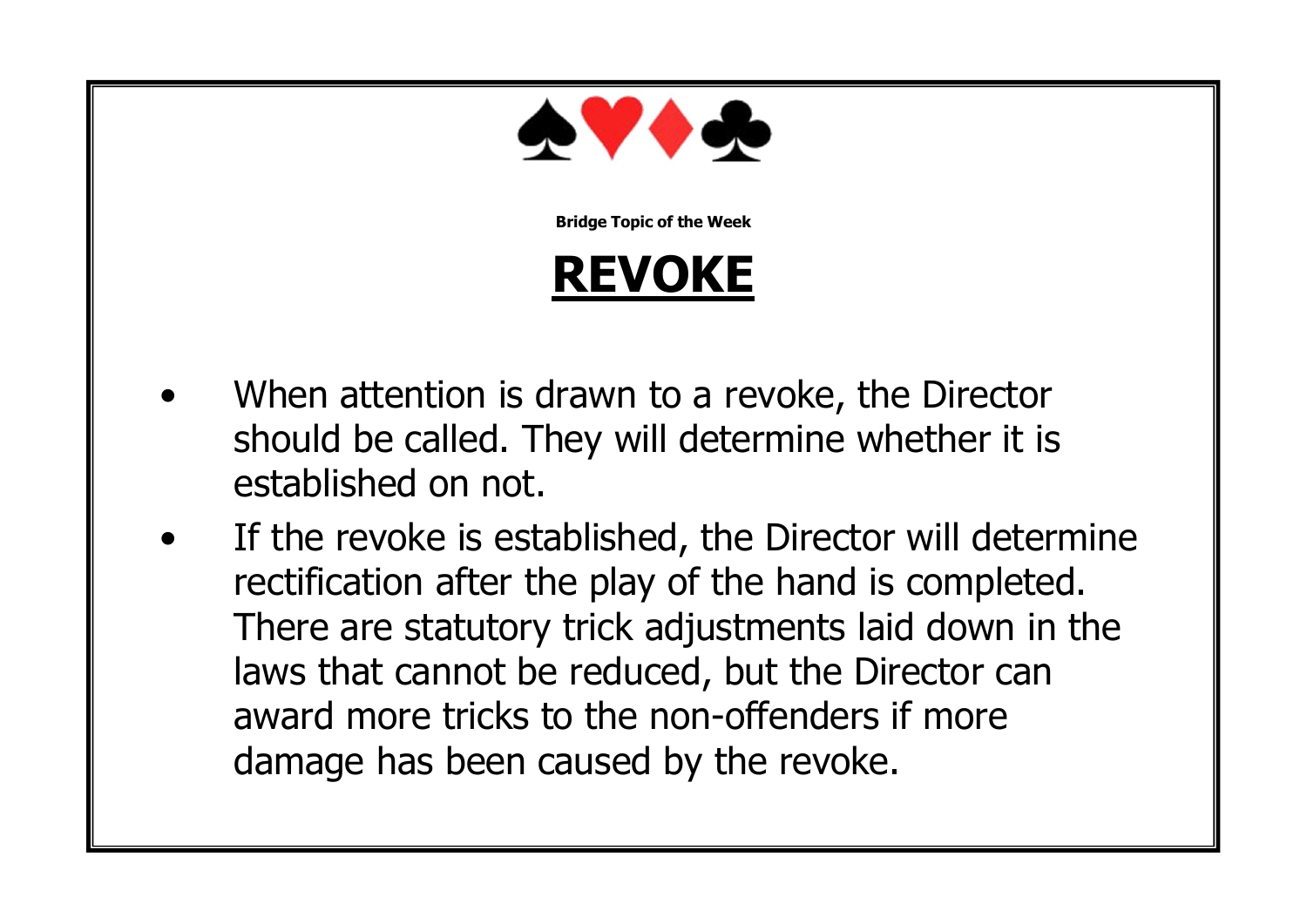

#### **REVOKE**

- When attention is drawn to a revoke, the Director should be called. They will determine whether it is established on not.
- If the revoke is established, the Director will determine rectification after the play of the hand is completed. There are statutory trick adjustments laid down in the laws that cannot be reduced, but the Director can award more tricks to the non-offenders if more damage has been caused by the revoke.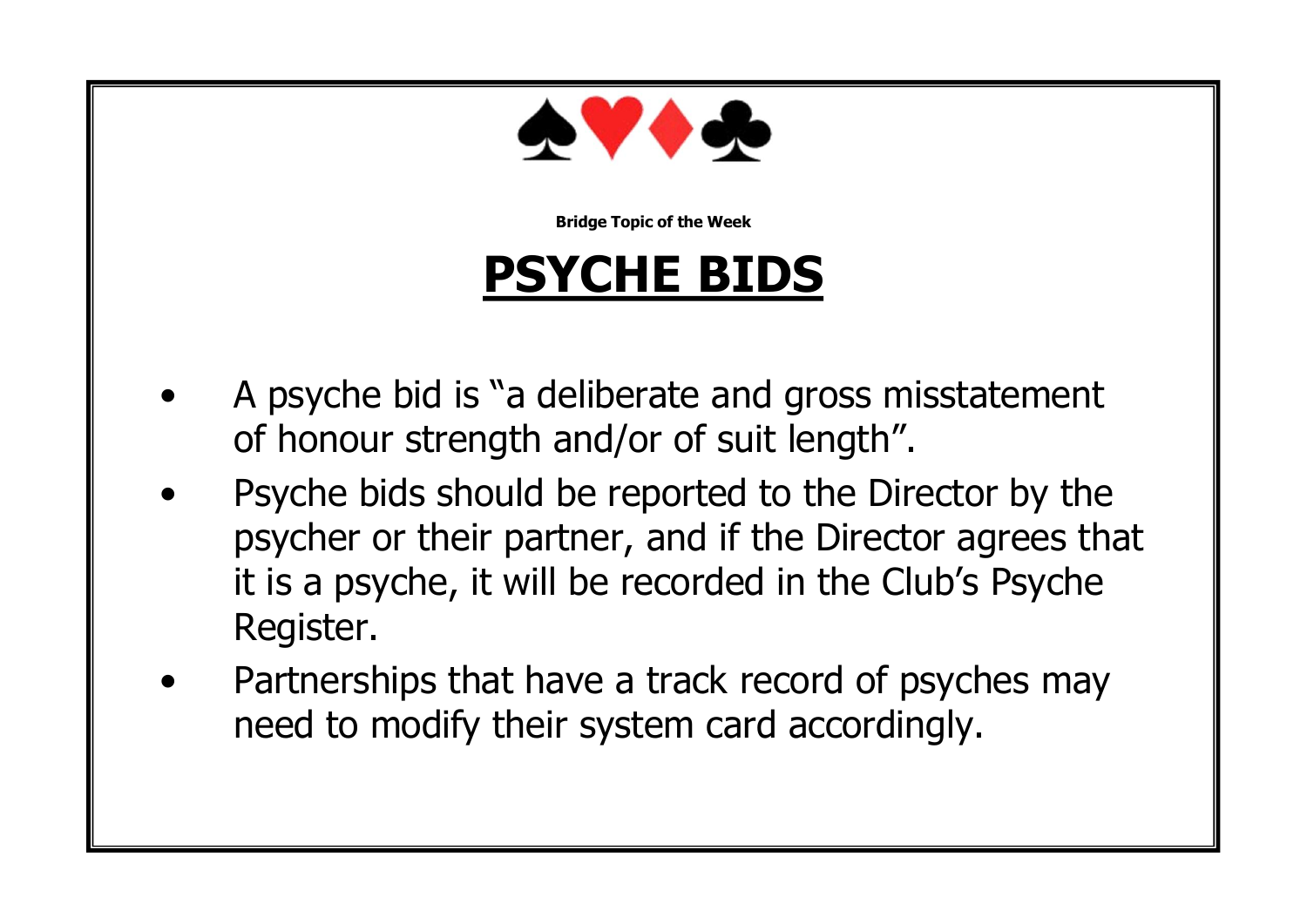

#### **PSYCHE BIDS**

- A psyche bid is "a deliberate and gross misstatement of honour strength and/or of suit length".
- Psyche bids should be reported to the Director by the psycher or their partner, and if the Director agrees that it is a psyche, it will be recorded in the Club's Psyche Register.
- Partnerships that have a track record of psyches may need to modify their system card accordingly.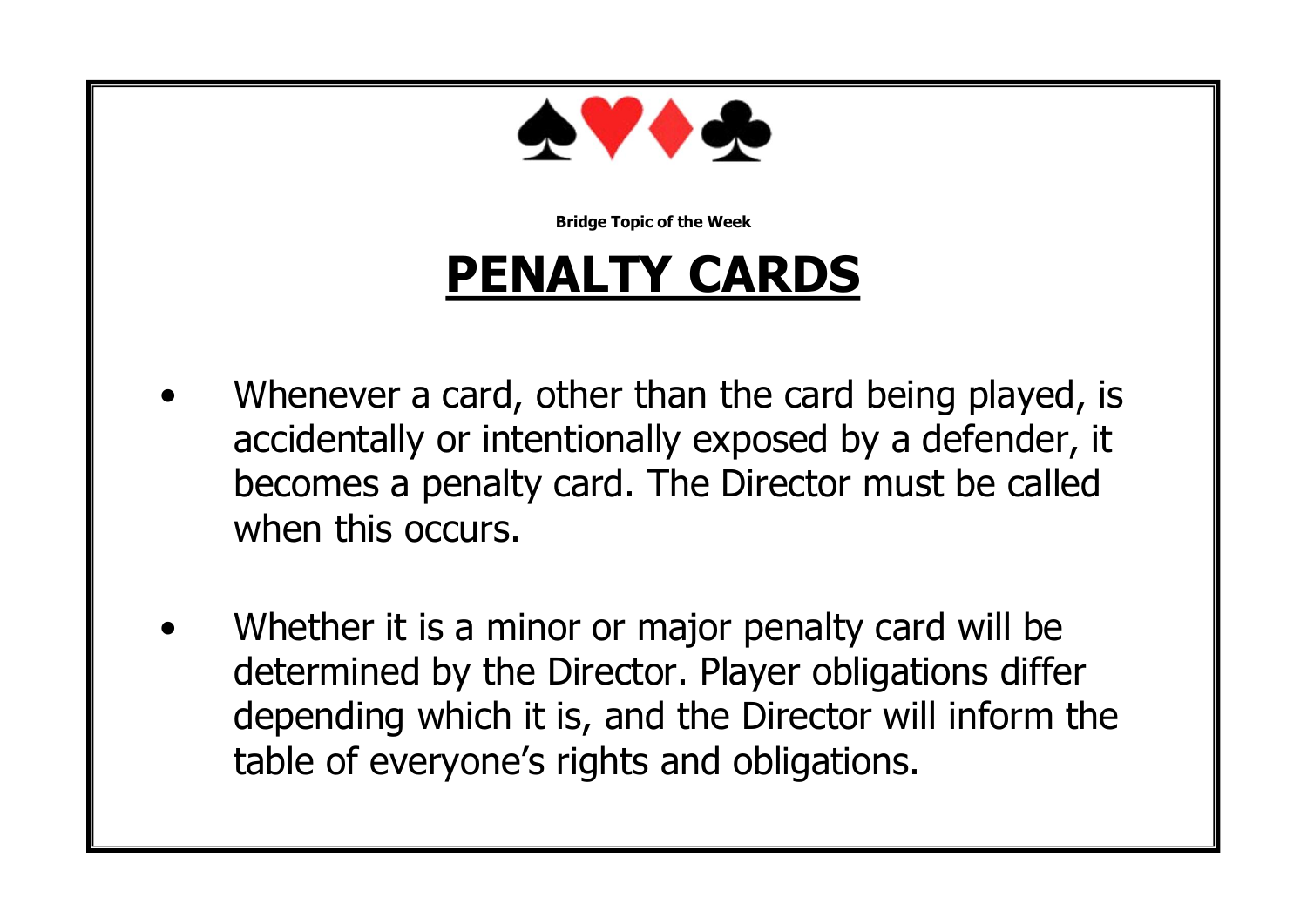

## **PENALTY CARDS**

- Whenever a card, other than the card being played, is accidentally or intentionally exposed by a defender, it becomes a penalty card. The Director must be called when this occurs.
- Whether it is a minor or major penalty card will be determined by the Director. Player obligations differ depending which it is, and the Director will inform the table of everyone's rights and obligations.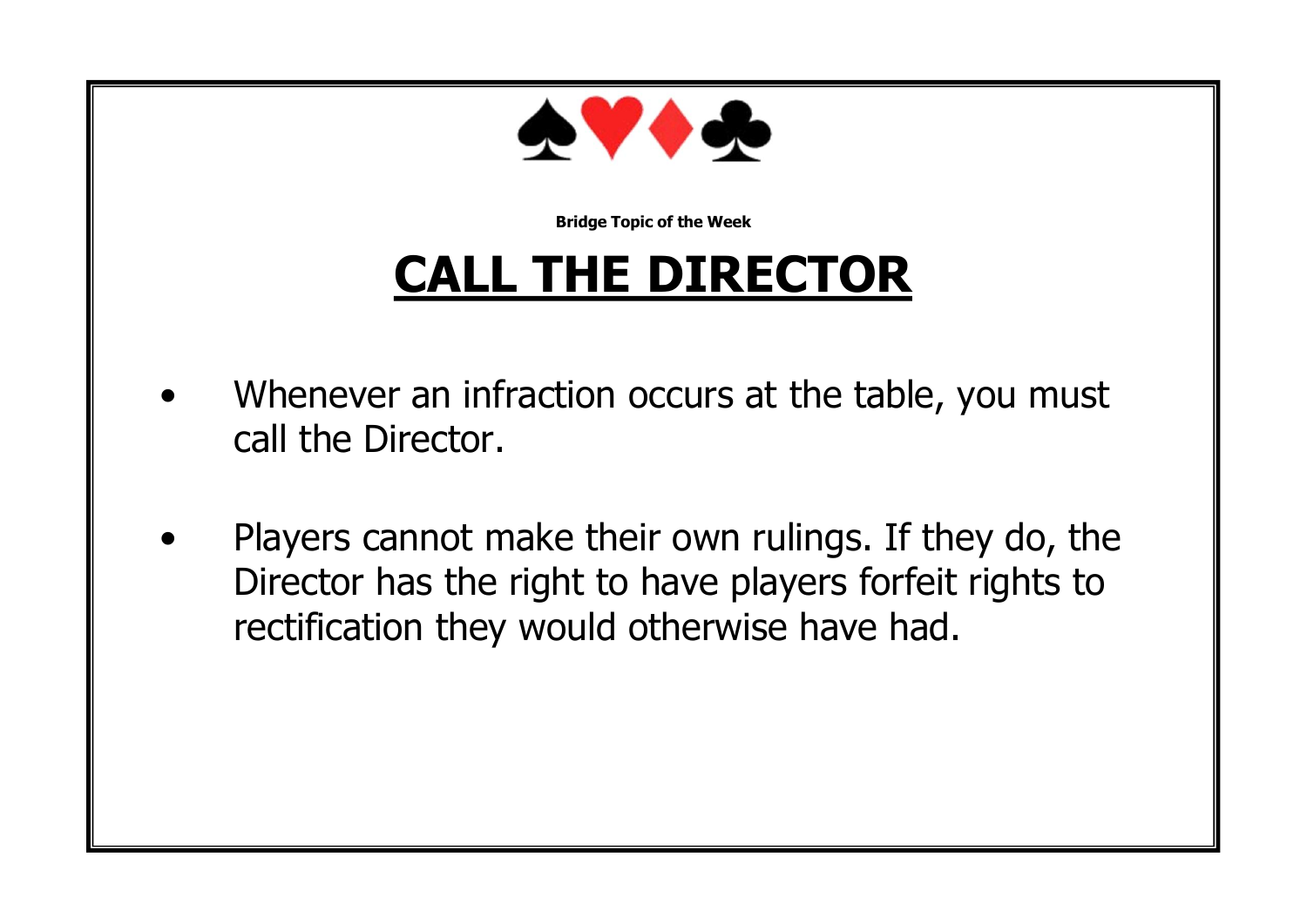

## **CALL THE DIRECTOR**

- Whenever an infraction occurs at the table, you must call the Director.
- Players cannot make their own rulings. If they do, the Director has the right to have players forfeit rights to rectification they would otherwise have had.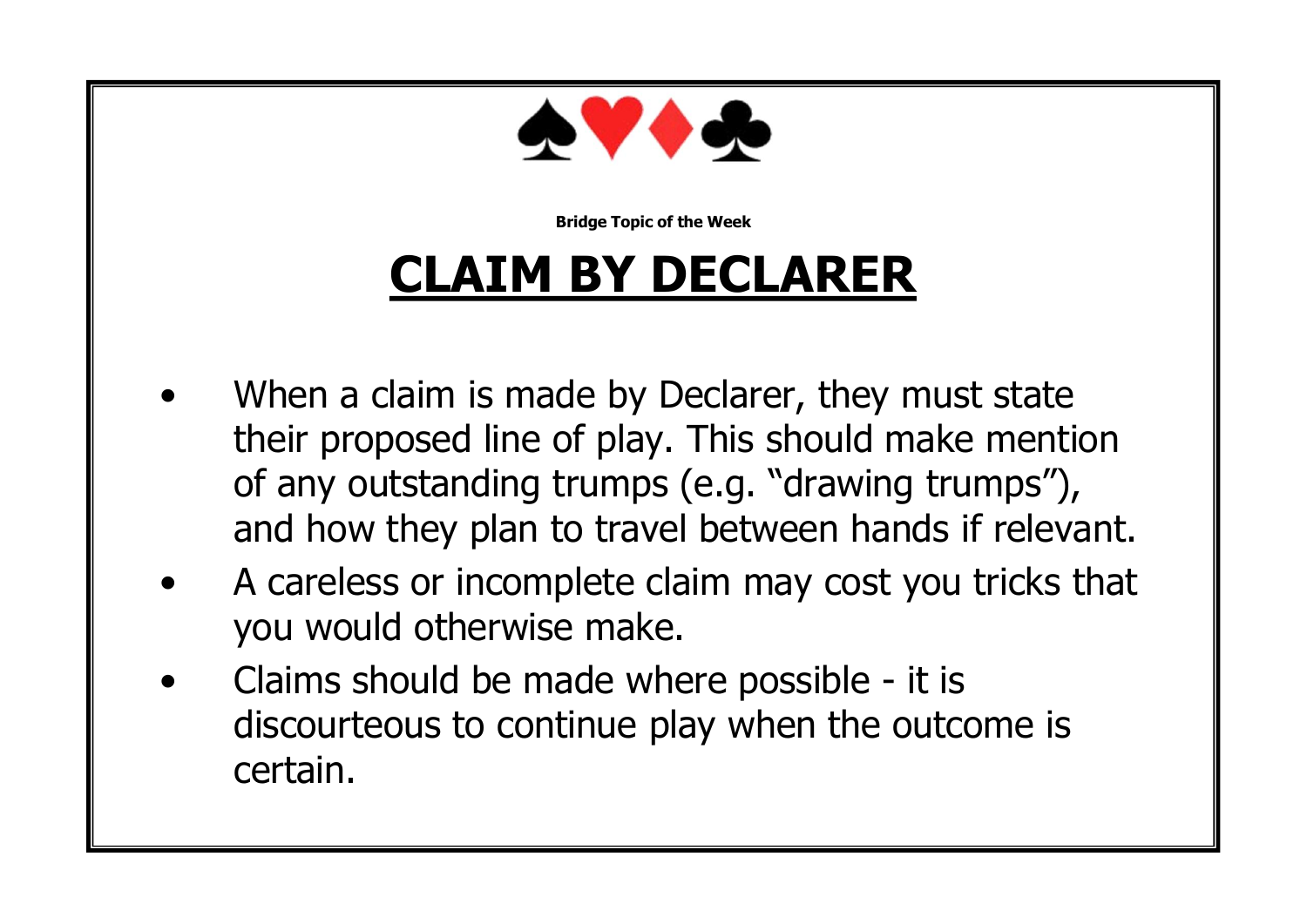

## **CLAIM BY DECLARER**

- When a claim is made by Declarer, they must state their proposed line of play. This should make mention of any outstanding trumps (e.g. "drawing trumps"), and how they plan to travel between hands if relevant.
- A careless or incomplete claim may cost you tricks that you would otherwise make.
- Claims should be made where possible it is discourteous to continue play when the outcome is certain.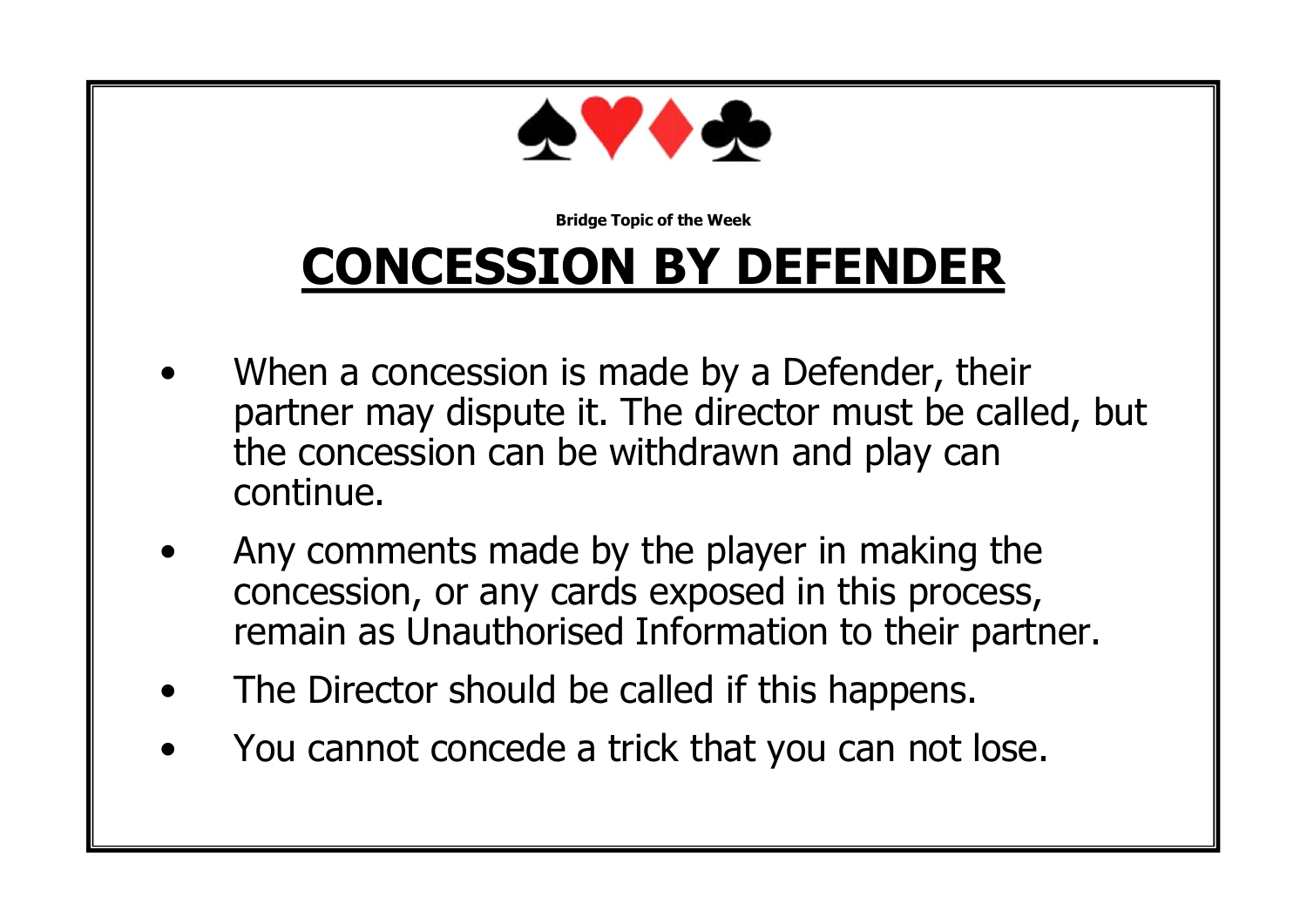

## **CONCESSION BY DEFENDER**

- When a concession is made by a Defender, their partner may dispute it. The director must be called, but the concession can be withdrawn and play can continue.
- Any comments made by the player in making the concession, or any cards exposed in this process, remain as Unauthorised Information to their partner.
- The Director should be called if this happens.
- You cannot concede a trick that you can not lose.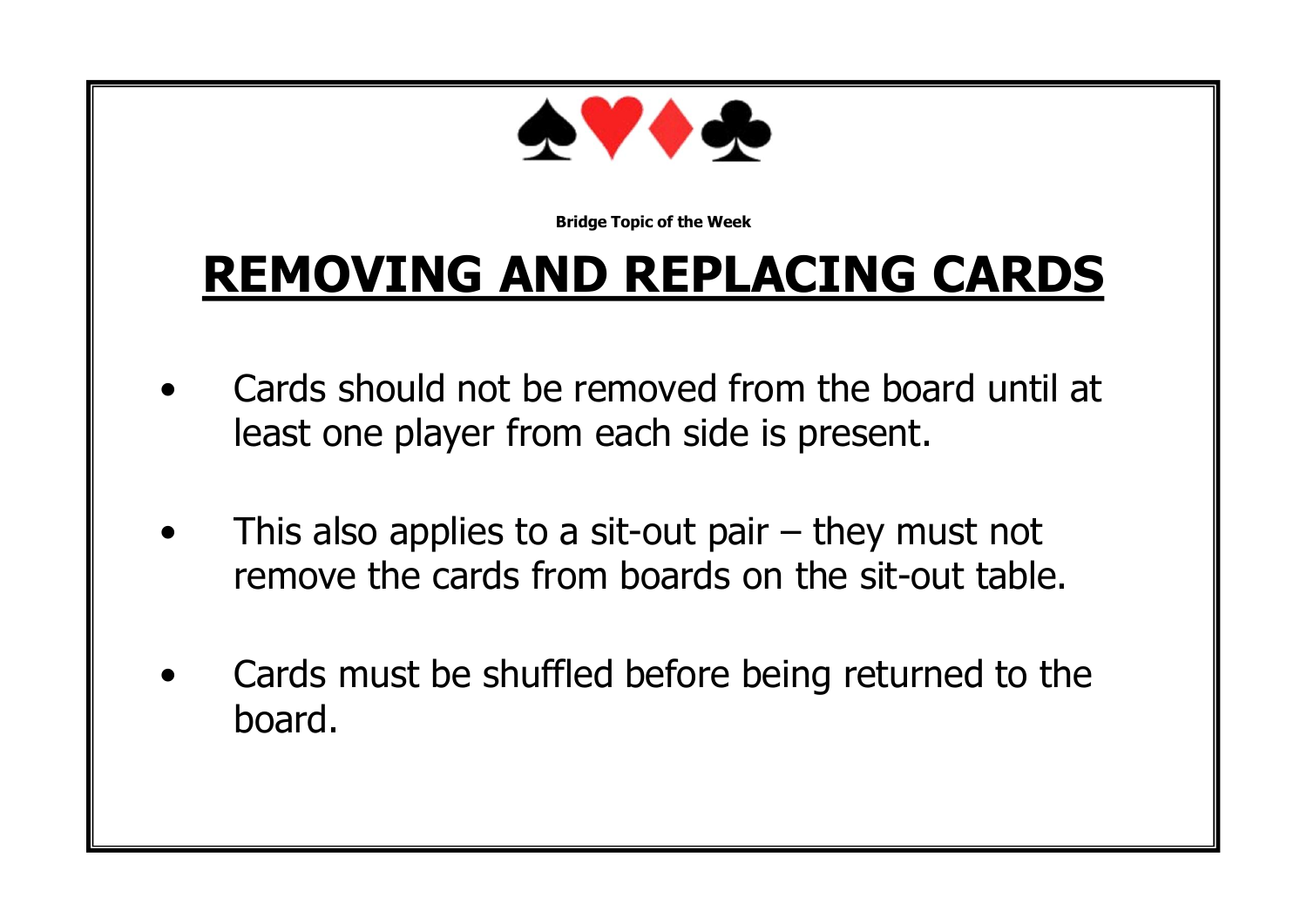

## **REMOVING AND REPLACING CARDS**

- Cards should not be removed from the board until at least one player from each side is present.
- This also applies to a sit-out pair  $-$  they must not remove the cards from boards on the sit-out table.
- Cards must be shuffled before being returned to the board.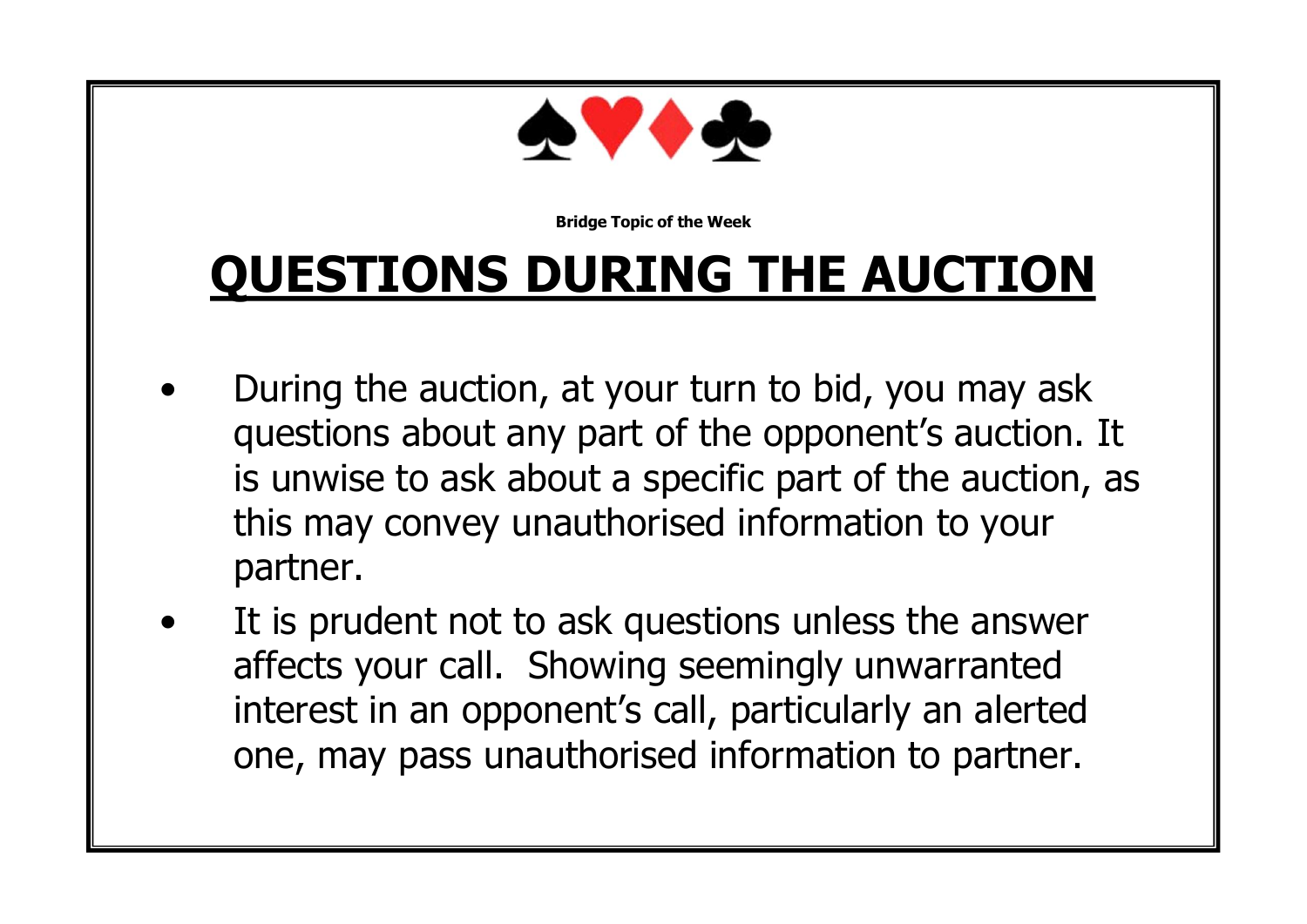

## **QUESTIONS DURING THE AUCTION**

- During the auction, at your turn to bid, you may ask questions about any part of the opponent's auction. It is unwise to ask about a specific part of the auction, as this may convey unauthorised information to your partner.
- It is prudent not to ask questions unless the answer affects your call. Showing seemingly unwarranted interest in an opponent's call, particularly an alerted one, may pass unauthorised information to partner.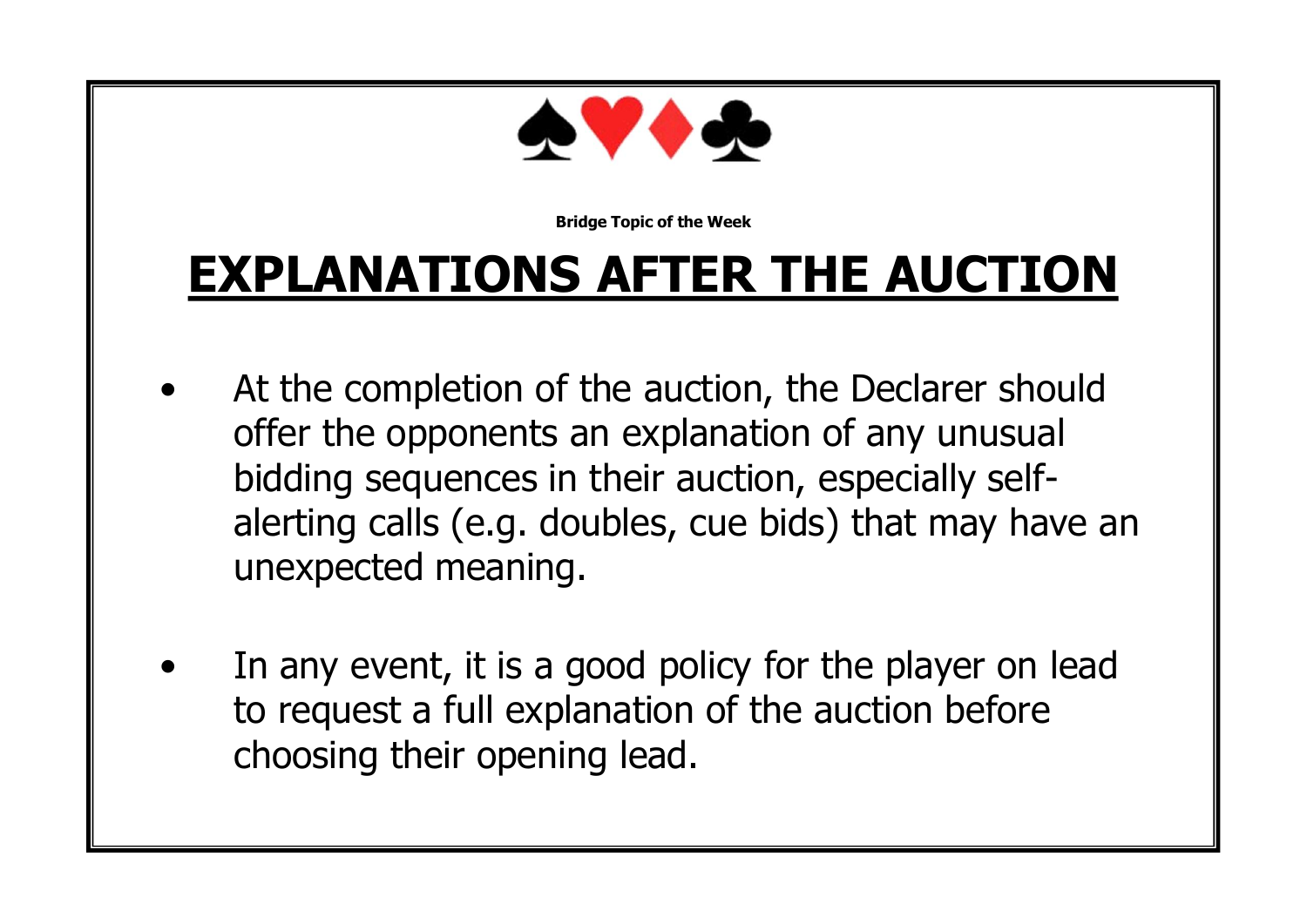

## **EXPLANATIONS AFTER THE AUCTION**

- At the completion of the auction, the Declarer should offer the opponents an explanation of any unusual bidding sequences in their auction, especially selfalerting calls (e.g. doubles, cue bids) that may have an unexpected meaning.
- In any event, it is a good policy for the player on lead to request a full explanation of the auction before choosing their opening lead.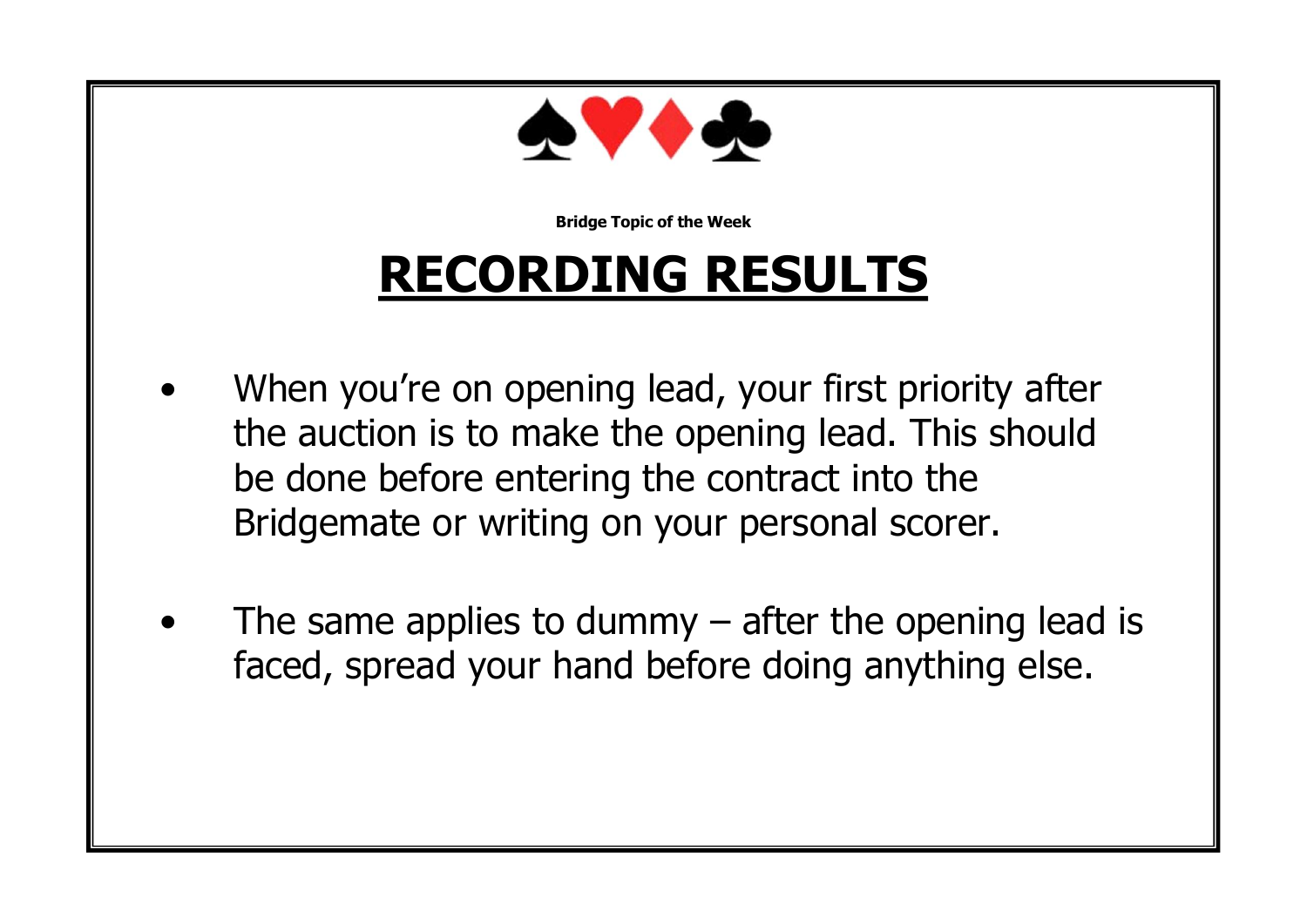

## **RECORDING RESULTS**

- When you're on opening lead, your first priority after the auction is to make the opening lead. This should be done before entering the contract into the Bridgemate or writing on your personal scorer.
- The same applies to dummy  $-$  after the opening lead is faced, spread your hand before doing anything else.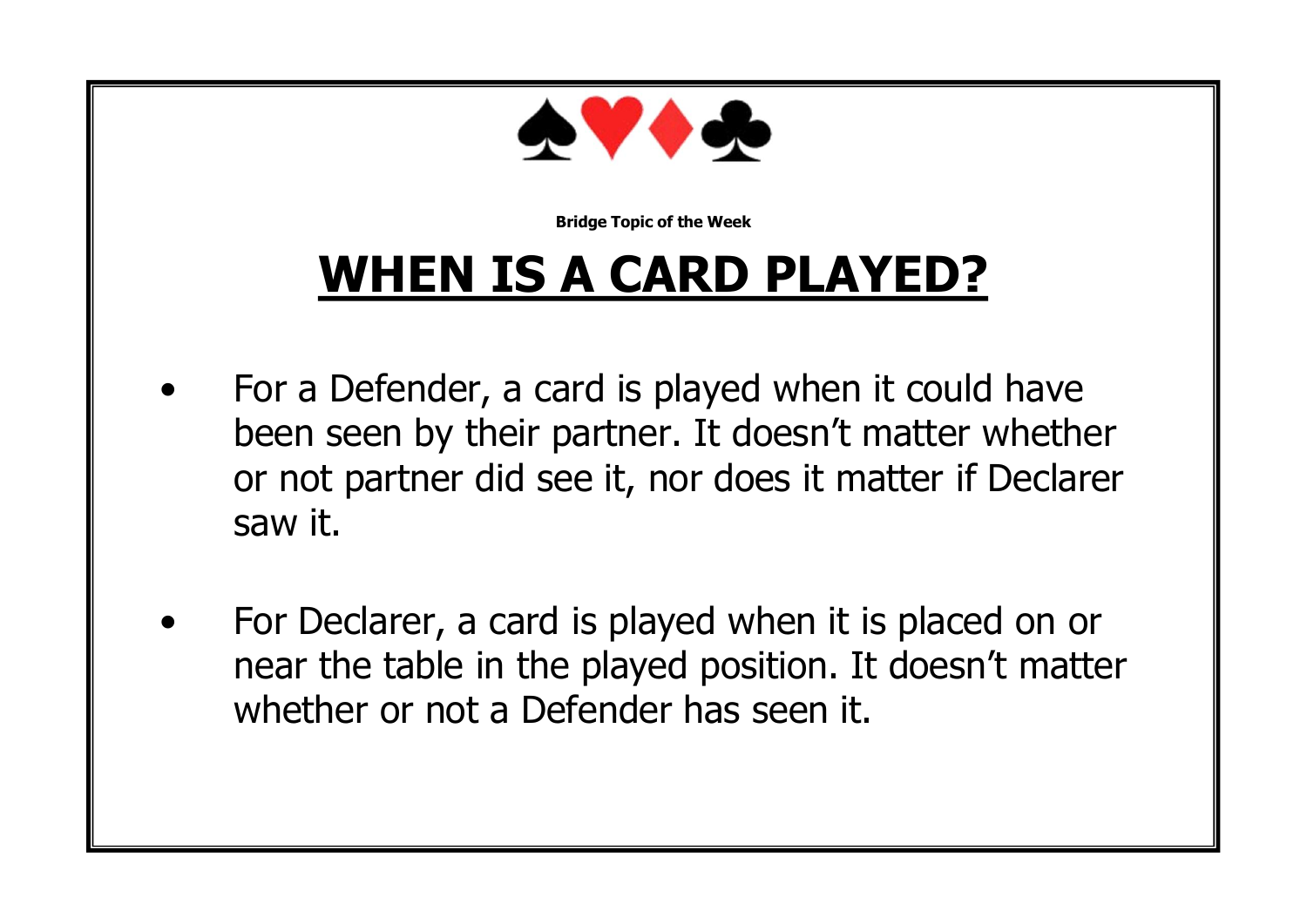

## **WHEN IS A CARD PLAYED?**

- For a Defender, a card is played when it could have been seen by their partner. It doesn't matter whether or not partner did see it, nor does it matter if Declarer saw it.
- For Declarer, a card is played when it is placed on or near the table in the played position. It doesn't matter whether or not a Defender has seen it.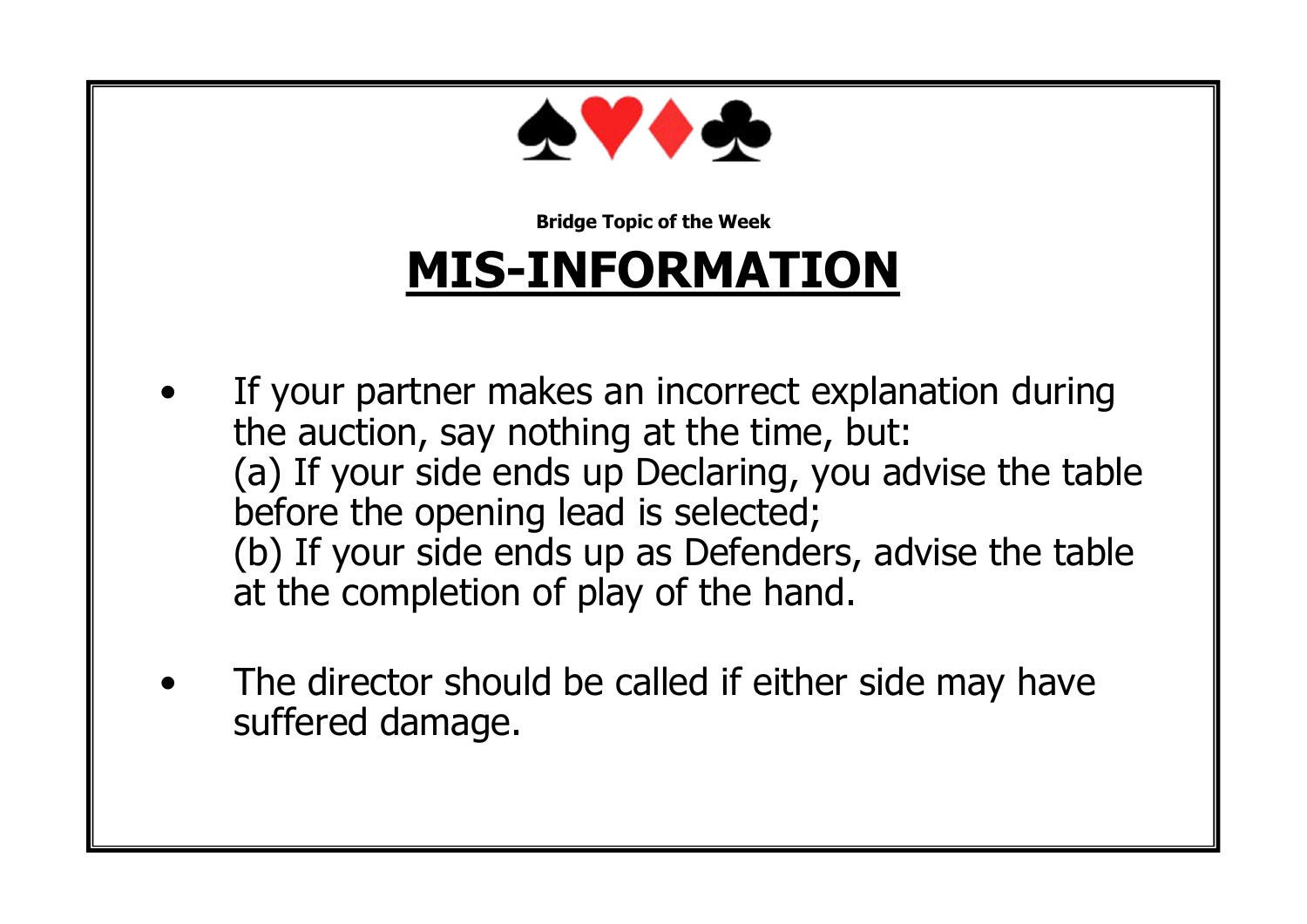

## **MIS-INFORMATION**

- If your partner makes an incorrect explanation during the auction, say nothing at the time, but: (a) If your side ends up Declaring, you advise the table before the opening lead is selected; (b) If your side ends up as Defenders, advise the table at the completion of play of the hand.
- The director should be called if either side may have suffered damage.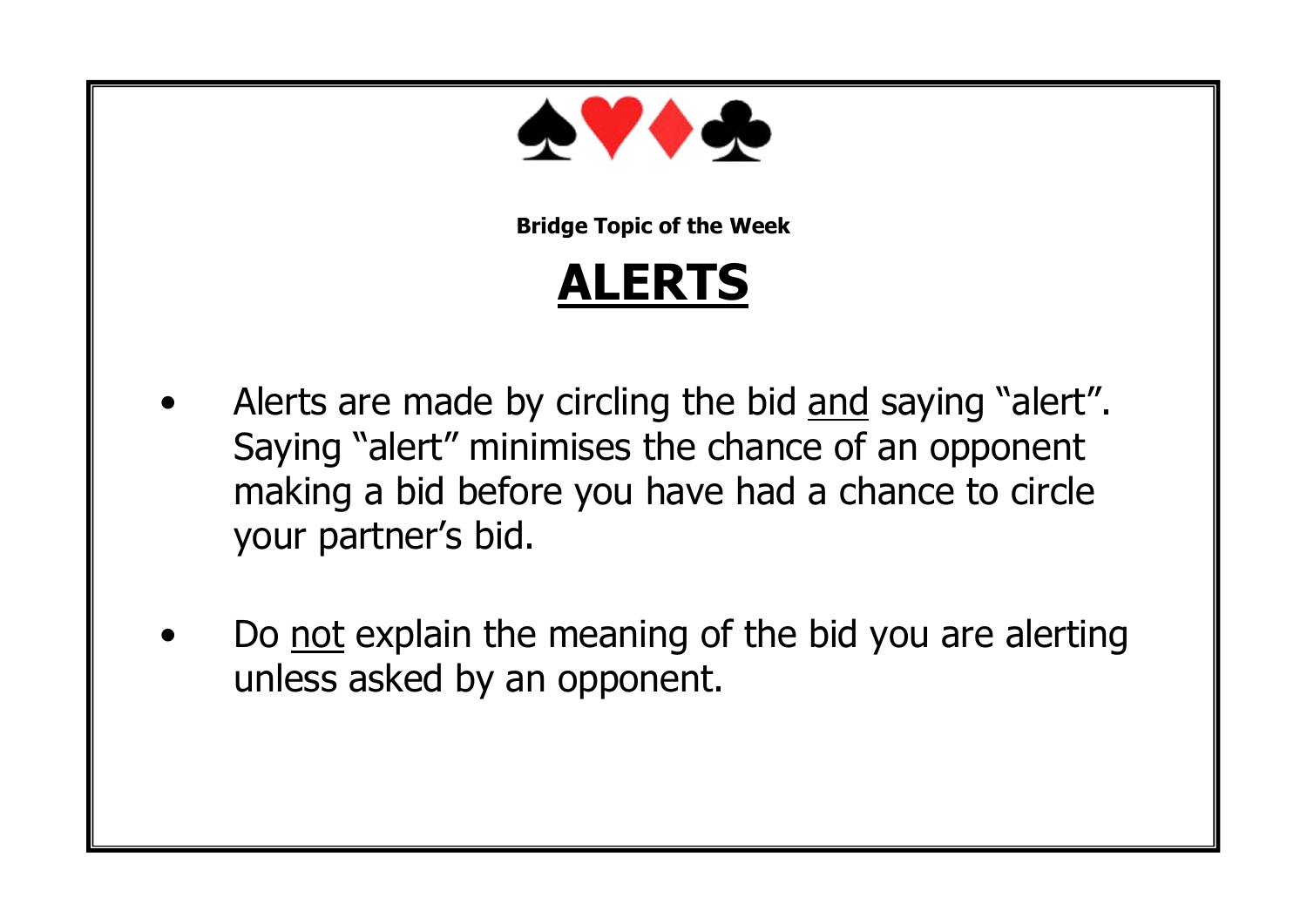

**ALERTS**

- Alerts are made by circling the bid and saying "alert". Saying "alert" minimises the chance of an opponent making a bid before you have had a chance to circle your partner's bid.
- Do not explain the meaning of the bid you are alerting unless asked by an opponent.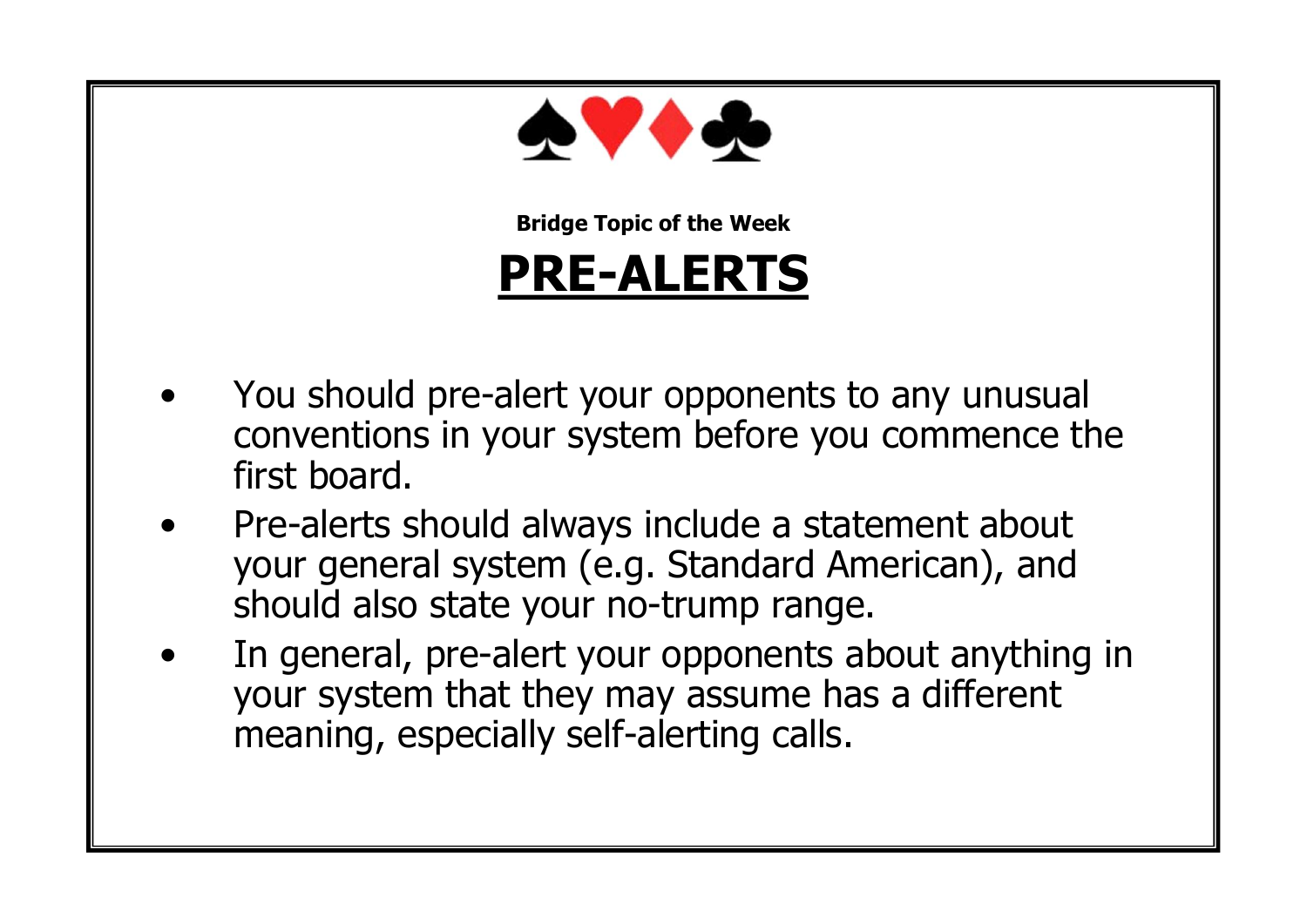

#### **PRE-ALERTS**

- You should pre-alert your opponents to any unusual conventions in your system before you commence the first board.
- Pre-alerts should always include a statement about your general system (e.g. Standard American), and should also state your no-trump range.
- In general, pre-alert your opponents about anything in your system that they may assume has a different meaning, especially self-alerting calls.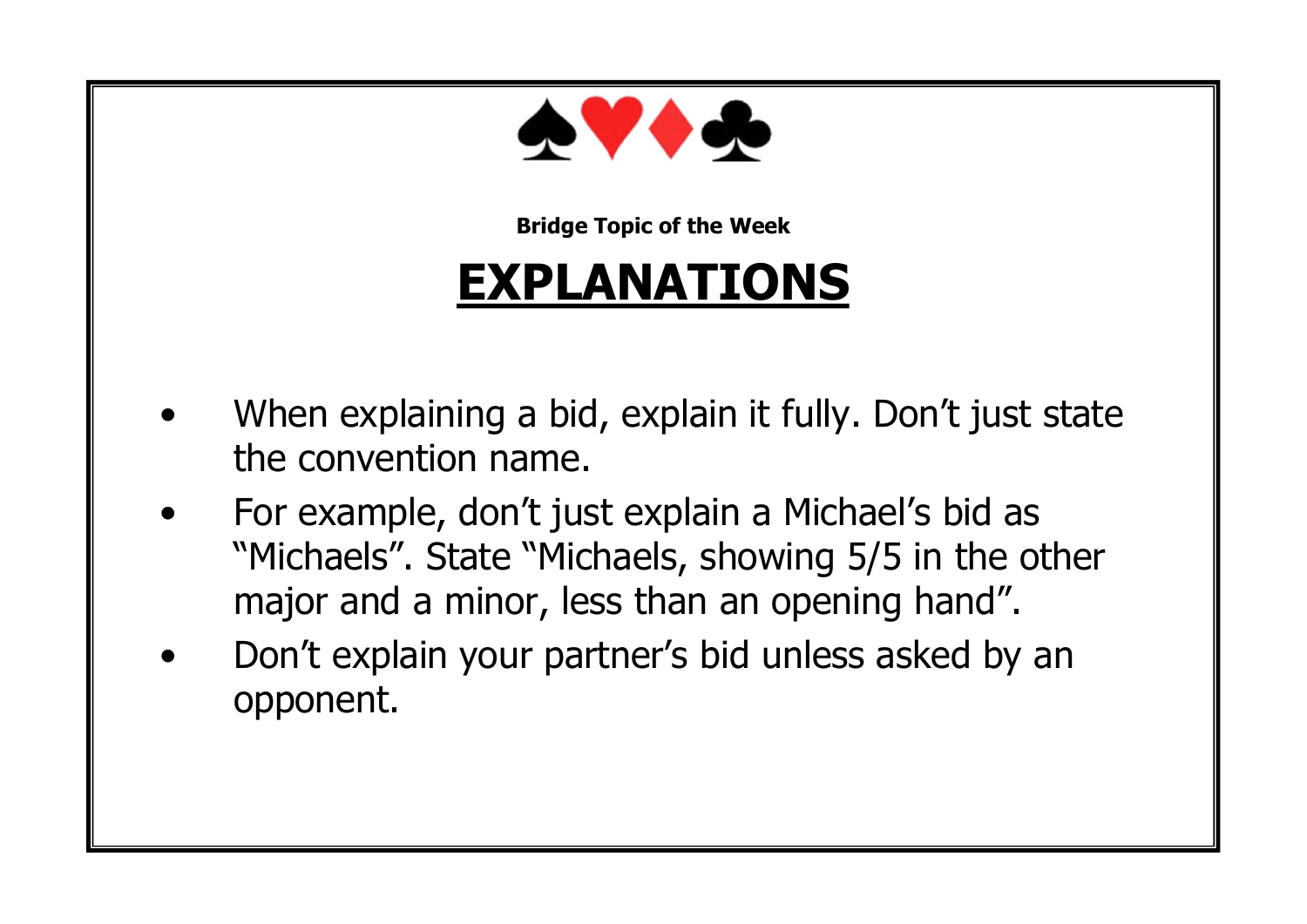

#### **EXPLANATIONS**

- When explaining a bid, explain it fully. Don't just state the convention name.
- For example, don't just explain a Michael's bid as "Michaels". State "Michaels, showing 5/5 in the other major and a minor, less than an opening hand".
- Don't explain your partner's bid unless asked by an opponent.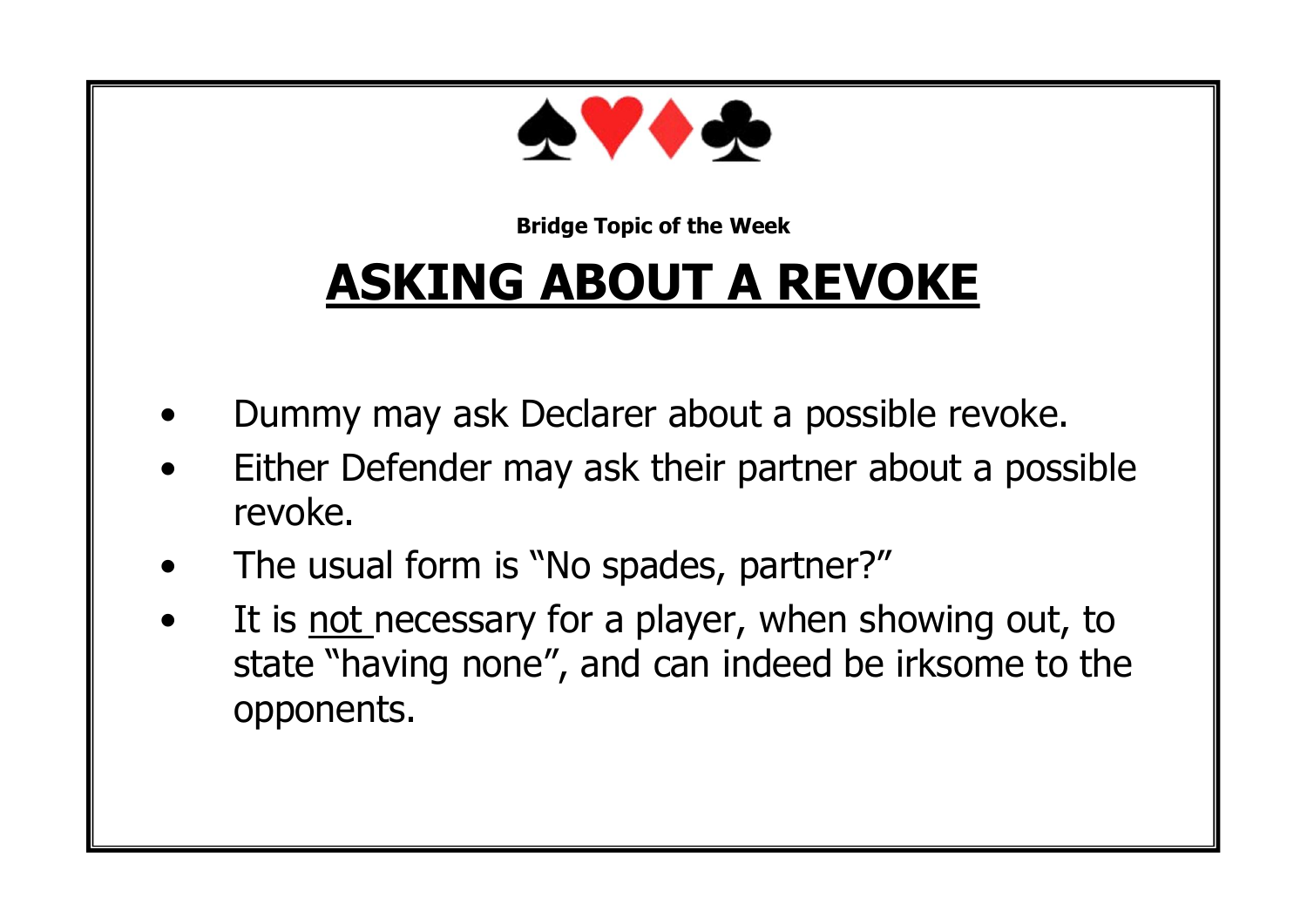

## **ASKING ABOUT A REVOKE**

- Dummy may ask Declarer about a possible revoke.
- Either Defender may ask their partner about a possible revoke.
- The usual form is "No spades, partner?"
- It is not necessary for a player, when showing out, to state "having none", and can indeed be irksome to the opponents.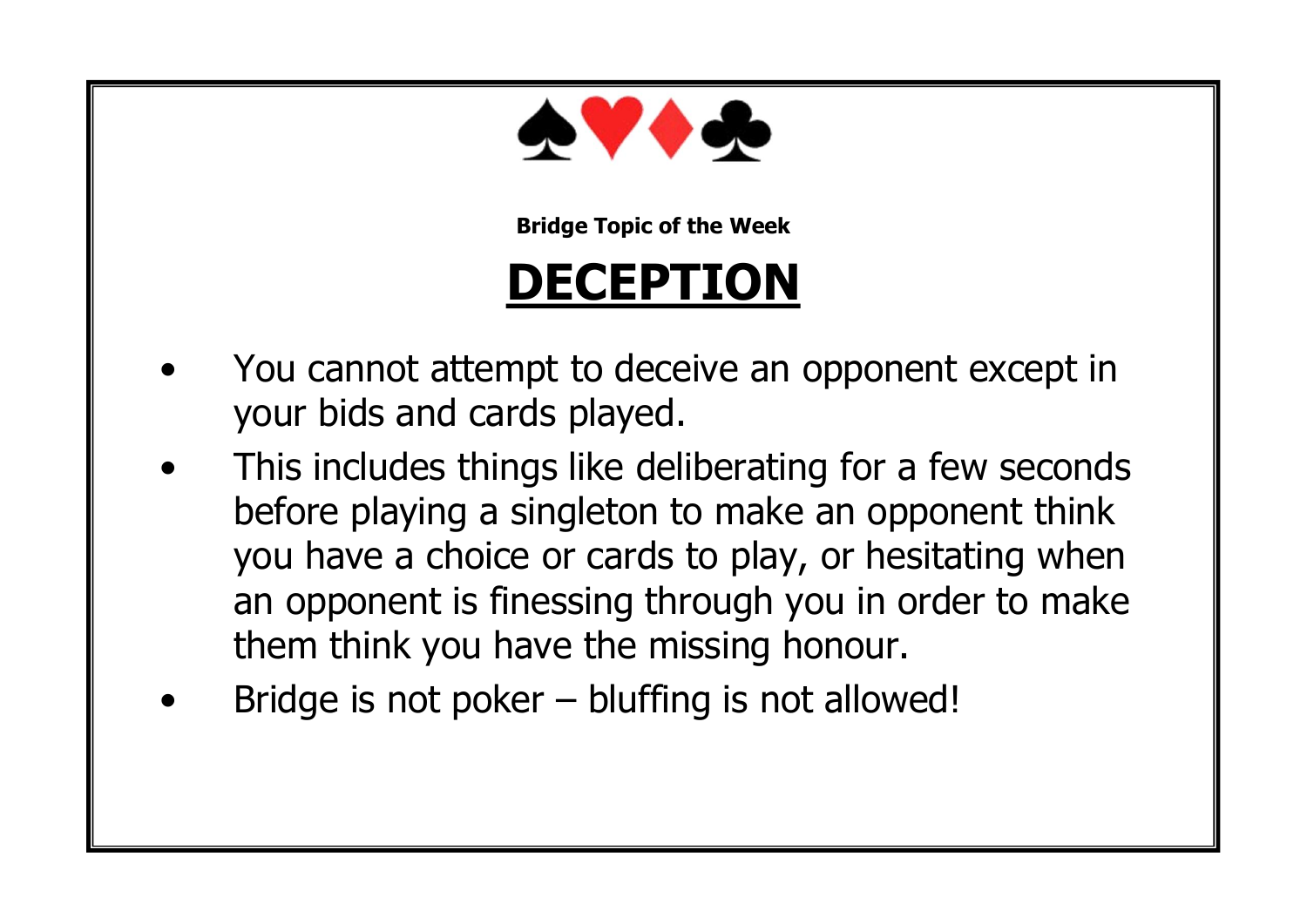

#### **DECEPTION**

- You cannot attempt to deceive an opponent except in your bids and cards played.
- This includes things like deliberating for a few seconds before playing a singleton to make an opponent think you have a choice or cards to play, or hesitating when an opponent is finessing through you in order to make them think you have the missing honour.
- Bridge is not poker  $-$  bluffing is not allowed!